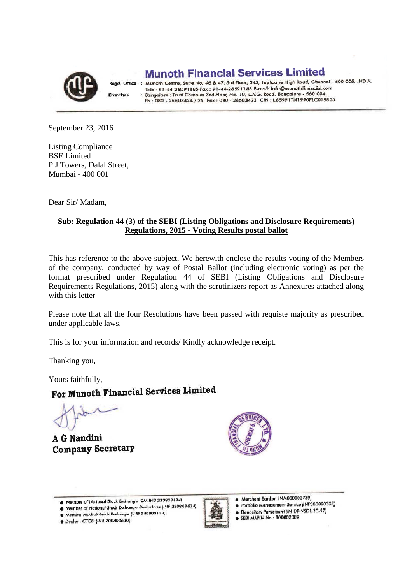

**Dranches** 

**Munoth Financial Services Limited** 

Regd. Office : Munoth Centre, Suite No. 46 & 47, 3rd Floor, 343, Triplicane High Road, Chennai - 600 005. INDIA. Munom Centre, 3018 110. 40  $\alpha$  47, 310 1104), 314, inplicate right footo reside.com Tele : 91-44-28591185 Pax : 91-44-26591186 E-mail: info@monommunicial.com<br>Bangalore : Trust Complex 3rd Floor, No. 10, D.V.G. Road, Bangalore - 560 004.<br>Ph : 080 - 26603424 / 25 Fax : 080 - 26603423 CIN : L65991TN1990PLC01

September 23, 2016

Listing Compliance BSE Limited P J Towers, Dalal Street, Mumbai - 400 001

Dear Sir/ Madam,

## **Sub: Regulation 44 (3) of the SEBI (Listing Obligations and Disclosure Requirements) Regulations, 2015 - Voting Results postal ballot**

This has reference to the above subject, We herewith enclose the results voting of the Members of the company, conducted by way of Postal Ballot (including electronic voting) as per the format prescribed under Regulation 44 of SEBI (Listing Obligations and Disclosure Requirements Regulations, 2015) along with the scrutinizers report as Annexures attached along with this letter

Please note that all the four Resolutions have been passed with requiste majority as prescribed under applicable laws.

This is for your information and records/ Kindly acknowledge receipt.

Thanking you,

# Yours faithfully,<br>For Munoth Financial Services Limited

A G Nandini **Company Secretary** 



- Member of National Stock Exchange Derivatives (INF 230803634)
- Member Madras Stock Exchange (11-18 040803634) · Dealer : OTCEI (INB 200803630)



Merchant Banker (INM000003739)

- Portfolio Management Service (INP000000308)
- Depository Participant (IN-DP-NSDL-30-97)  $\bullet$
- **@ SEBI AAA,PIN Nn 100002089**

Member of National Stock Exchange (CM INB 230803634)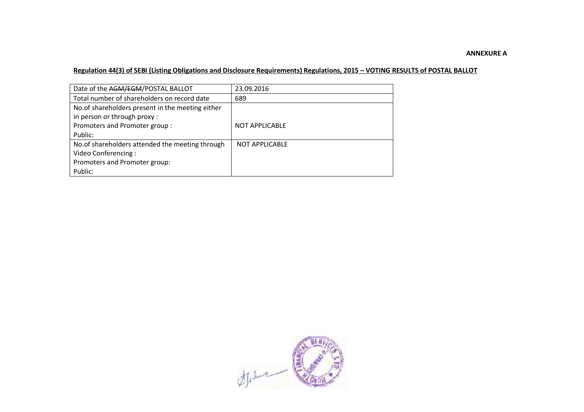## **ANNEXURE A**

#### **Regulation 44(3) of SEBI (Listing Obligations and Disclosure Requirements) Regulations, 2015 – VOTING RESULTS of POSTAL BALLOT**

| Date of the AGM/EGM/POSTAL BALLOT                | 23.09.2016            |
|--------------------------------------------------|-----------------------|
| Total number of shareholders on record date      | 689                   |
| No.of shareholders present in the meeting either |                       |
| in person or through proxy:                      |                       |
| Promoters and Promoter group:                    | <b>NOT APPLICABLE</b> |
| Public:                                          |                       |
| No. of shareholders attended the meeting through | <b>NOT APPLICABLE</b> |
| Video Conferencing:                              |                       |
| Promoters and Promoter group:                    |                       |
| Public:                                          |                       |

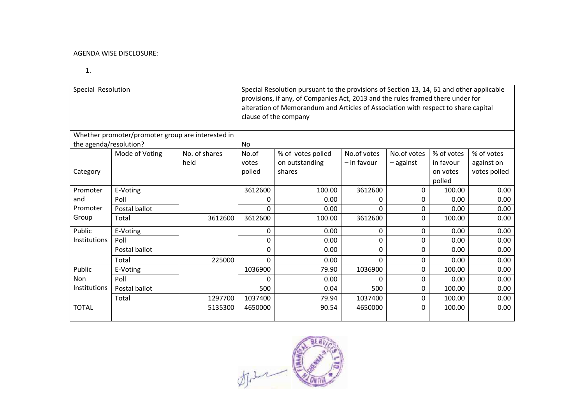#### AGENDA WISE DISCLOSURE:

1.

| Special Resolution                                |                |               | Special Resolution pursuant to the provisions of Section 13, 14, 61 and other applicable<br>provisions, if any, of Companies Act, 2013 and the rules framed there under for<br>alteration of Memorandum and Articles of Association with respect to share capital<br>clause of the company |                   |               |             |            |              |  |  |  |
|---------------------------------------------------|----------------|---------------|--------------------------------------------------------------------------------------------------------------------------------------------------------------------------------------------------------------------------------------------------------------------------------------------|-------------------|---------------|-------------|------------|--------------|--|--|--|
| Whether promoter/promoter group are interested in |                |               |                                                                                                                                                                                                                                                                                            |                   |               |             |            |              |  |  |  |
| the agenda/resolution?                            |                |               | <b>No</b>                                                                                                                                                                                                                                                                                  |                   |               |             |            |              |  |  |  |
|                                                   | Mode of Voting | No. of shares | No.of                                                                                                                                                                                                                                                                                      | % of votes polled | No.of votes   | No.of votes | % of votes | % of votes   |  |  |  |
|                                                   |                | held          | votes                                                                                                                                                                                                                                                                                      | on outstanding    | $-$ in favour | – against   | in favour  | against on   |  |  |  |
| Category                                          |                |               | polled                                                                                                                                                                                                                                                                                     | shares            |               |             | on votes   | votes polled |  |  |  |
|                                                   |                |               |                                                                                                                                                                                                                                                                                            |                   |               |             | polled     |              |  |  |  |
| Promoter                                          | E-Voting       |               | 3612600                                                                                                                                                                                                                                                                                    | 100.00            | 3612600       | 0           | 100.00     | 0.00         |  |  |  |
| and                                               | Poll           |               | 0                                                                                                                                                                                                                                                                                          | 0.00              | 0             | 0           | 0.00       | 0.00         |  |  |  |
| Promoter                                          | Postal ballot  |               | $\Omega$                                                                                                                                                                                                                                                                                   | 0.00              | 0             | $\Omega$    | 0.00       | 0.00         |  |  |  |
| Group                                             | Total          | 3612600       | 3612600                                                                                                                                                                                                                                                                                    | 100.00            | 3612600       | $\Omega$    | 100.00     | 0.00         |  |  |  |
| Public                                            | E-Voting       |               | 0                                                                                                                                                                                                                                                                                          | 0.00              | 0             | $\Omega$    | 0.00       | 0.00         |  |  |  |
| <b>Institutions</b>                               | Poll           |               | 0                                                                                                                                                                                                                                                                                          | 0.00              | 0             | $\Omega$    | 0.00       | 0.00         |  |  |  |
|                                                   | Postal ballot  |               | $\Omega$                                                                                                                                                                                                                                                                                   | 0.00              | 0             | $\Omega$    | 0.00       | 0.00         |  |  |  |
|                                                   | Total          | 225000        | $\Omega$                                                                                                                                                                                                                                                                                   | 0.00              | $\Omega$      | $\Omega$    | 0.00       | 0.00         |  |  |  |
| Public                                            | E-Voting       |               | 1036900                                                                                                                                                                                                                                                                                    | 79.90             | 1036900       | 0           | 100.00     | 0.00         |  |  |  |
| Non                                               | Poll           |               | 0                                                                                                                                                                                                                                                                                          | 0.00              | 0             | $\Omega$    | 0.00       | 0.00         |  |  |  |
| <b>Institutions</b>                               | Postal ballot  |               | 500                                                                                                                                                                                                                                                                                        | 0.04              | 500           | 0           | 100.00     | 0.00         |  |  |  |
|                                                   | Total          | 1297700       | 1037400                                                                                                                                                                                                                                                                                    | 79.94             | 1037400       | 0           | 100.00     | 0.00         |  |  |  |
| <b>TOTAL</b>                                      |                | 5135300       | 4650000                                                                                                                                                                                                                                                                                    | 90.54             | 4650000       | $\Omega$    | 100.00     | 0.00         |  |  |  |

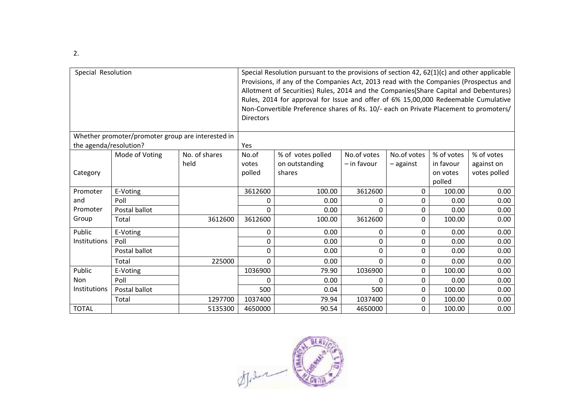| Special Resolution                                |                |               | <b>Directors</b> | Special Resolution pursuant to the provisions of section 42, 62(1)(c) and other applicable<br>Provisions, if any of the Companies Act, 2013 read with the Companies (Prospectus and<br>Allotment of Securities) Rules, 2014 and the Companies(Share Capital and Debentures)<br>Rules, 2014 for approval for Issue and offer of 6% 15,00,000 Redeemable Cumulative<br>Non-Convertible Preference shares of Rs. 10/- each on Private Placement to promoters/ |             |             |            |              |  |  |
|---------------------------------------------------|----------------|---------------|------------------|------------------------------------------------------------------------------------------------------------------------------------------------------------------------------------------------------------------------------------------------------------------------------------------------------------------------------------------------------------------------------------------------------------------------------------------------------------|-------------|-------------|------------|--------------|--|--|
| Whether promoter/promoter group are interested in |                |               |                  |                                                                                                                                                                                                                                                                                                                                                                                                                                                            |             |             |            |              |  |  |
| the agenda/resolution?                            |                |               | Yes              |                                                                                                                                                                                                                                                                                                                                                                                                                                                            |             |             |            |              |  |  |
|                                                   | Mode of Voting | No. of shares | No.of            | % of votes polled                                                                                                                                                                                                                                                                                                                                                                                                                                          | No.of votes | No.of votes | % of votes | % of votes   |  |  |
|                                                   |                | held          | votes            | on outstanding                                                                                                                                                                                                                                                                                                                                                                                                                                             | - in favour | – against   | in favour  | against on   |  |  |
| Category                                          |                |               | polled           | shares                                                                                                                                                                                                                                                                                                                                                                                                                                                     |             |             | on votes   | votes polled |  |  |
|                                                   |                |               |                  |                                                                                                                                                                                                                                                                                                                                                                                                                                                            |             | polled      |            |              |  |  |
| Promoter                                          | E-Voting       |               | 3612600          | 100.00                                                                                                                                                                                                                                                                                                                                                                                                                                                     | 3612600     | 0           | 100.00     | 0.00         |  |  |
| and                                               | Poll           |               | 0                | 0.00                                                                                                                                                                                                                                                                                                                                                                                                                                                       | 0           | 0           | 0.00       | 0.00         |  |  |
| Promoter                                          | Postal ballot  |               | $\Omega$         | 0.00                                                                                                                                                                                                                                                                                                                                                                                                                                                       | $\Omega$    | 0           | 0.00       | 0.00         |  |  |
| Group                                             | Total          | 3612600       | 3612600          | 100.00                                                                                                                                                                                                                                                                                                                                                                                                                                                     | 3612600     | 0           | 100.00     | 0.00         |  |  |
| Public                                            | E-Voting       |               | 0                | 0.00                                                                                                                                                                                                                                                                                                                                                                                                                                                       | 0           | 0           | 0.00       | 0.00         |  |  |
| Institutions                                      | Poll           |               | 0                | 0.00                                                                                                                                                                                                                                                                                                                                                                                                                                                       | $\Omega$    | 0           | 0.00       | 0.00         |  |  |
|                                                   | Postal ballot  |               | 0                | 0.00                                                                                                                                                                                                                                                                                                                                                                                                                                                       | 0           | 0           | 0.00       | 0.00         |  |  |
|                                                   | Total          | 225000        | $\Omega$         | 0.00                                                                                                                                                                                                                                                                                                                                                                                                                                                       | $\Omega$    | 0           | 0.00       | 0.00         |  |  |
| Public                                            | E-Voting       |               | 1036900          | 79.90                                                                                                                                                                                                                                                                                                                                                                                                                                                      | 1036900     | 0           | 100.00     | 0.00         |  |  |
| Non                                               | Poll           |               | 0                | 0.00                                                                                                                                                                                                                                                                                                                                                                                                                                                       | $\Omega$    | 0           | 0.00       | 0.00         |  |  |
| Institutions                                      | Postal ballot  |               | 500              | 0.04                                                                                                                                                                                                                                                                                                                                                                                                                                                       | 500         | 0           | 100.00     | 0.00         |  |  |
|                                                   | Total          | 1297700       | 1037400          | 79.94                                                                                                                                                                                                                                                                                                                                                                                                                                                      | 1037400     | 0           | 100.00     | 0.00         |  |  |
| <b>TOTAL</b>                                      |                | 5135300       | 4650000          | 90.54                                                                                                                                                                                                                                                                                                                                                                                                                                                      | 4650000     | 0           | 100.00     | 0.00         |  |  |



2.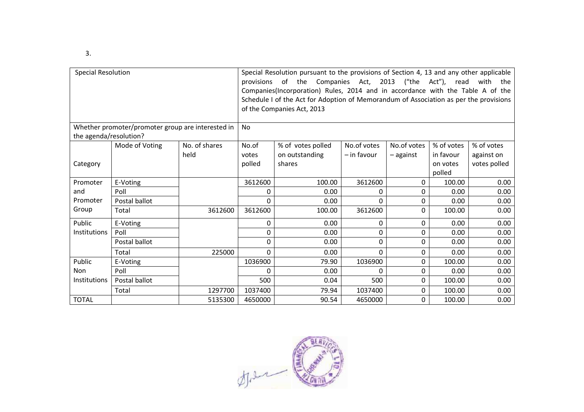| Special Resolution                                |                |               | Special Resolution pursuant to the provisions of Section 4, 13 and any other applicable<br>2013 ("the Act"), read<br>provisions of the Companies Act,<br>with the<br>Companies(Incorporation) Rules, 2014 and in accordance with the Table A of the<br>Schedule I of the Act for Adoption of Memorandum of Association as per the provisions<br>of the Companies Act, 2013 |                   |             |             |            |              |  |
|---------------------------------------------------|----------------|---------------|----------------------------------------------------------------------------------------------------------------------------------------------------------------------------------------------------------------------------------------------------------------------------------------------------------------------------------------------------------------------------|-------------------|-------------|-------------|------------|--------------|--|
| Whether promoter/promoter group are interested in |                |               | No                                                                                                                                                                                                                                                                                                                                                                         |                   |             |             |            |              |  |
| the agenda/resolution?                            |                |               |                                                                                                                                                                                                                                                                                                                                                                            |                   |             |             |            |              |  |
|                                                   | Mode of Voting | No. of shares | No.of                                                                                                                                                                                                                                                                                                                                                                      | % of votes polled | No.of votes | No.of votes | % of votes | % of votes   |  |
|                                                   |                | held          | votes                                                                                                                                                                                                                                                                                                                                                                      | on outstanding    | - in favour | $-$ against | in favour  | against on   |  |
| Category                                          |                |               | polled                                                                                                                                                                                                                                                                                                                                                                     | shares            |             |             | on votes   | votes polled |  |
|                                                   |                |               |                                                                                                                                                                                                                                                                                                                                                                            |                   |             |             | polled     |              |  |
| Promoter                                          | E-Voting       |               | 3612600                                                                                                                                                                                                                                                                                                                                                                    | 100.00            | 3612600     | 0           | 100.00     | 0.00         |  |
| and                                               | Poll           |               | 0                                                                                                                                                                                                                                                                                                                                                                          | 0.00              | 0           | 0           | 0.00       | 0.00         |  |
| Promoter                                          | Postal ballot  |               | 0                                                                                                                                                                                                                                                                                                                                                                          | 0.00              | $\Omega$    | 0           | 0.00       | 0.00         |  |
| Group                                             | Total          | 3612600       | 3612600                                                                                                                                                                                                                                                                                                                                                                    | 100.00            | 3612600     | 0           | 100.00     | 0.00         |  |
| Public                                            | E-Voting       |               | 0                                                                                                                                                                                                                                                                                                                                                                          | 0.00              | 0           | 0           | 0.00       | 0.00         |  |
| Institutions                                      | Poll           |               | 0                                                                                                                                                                                                                                                                                                                                                                          | 0.00              | 0           | 0           | 0.00       | 0.00         |  |
|                                                   | Postal ballot  |               | 0                                                                                                                                                                                                                                                                                                                                                                          | 0.00              | $\Omega$    | 0           | 0.00       | 0.00         |  |
|                                                   | Total          | 225000        | 0                                                                                                                                                                                                                                                                                                                                                                          | 0.00              | $\Omega$    | 0           | 0.00       | 0.00         |  |
| Public                                            | E-Voting       |               | 1036900                                                                                                                                                                                                                                                                                                                                                                    | 79.90             | 1036900     | 0           | 100.00     | 0.00         |  |
| <b>Non</b>                                        | Poll           |               | 0                                                                                                                                                                                                                                                                                                                                                                          | 0.00              | 0           | 0           | 0.00       | 0.00         |  |
| <b>Institutions</b>                               | Postal ballot  |               | 500                                                                                                                                                                                                                                                                                                                                                                        | 0.04              | 500         | 0           | 100.00     | 0.00         |  |
|                                                   | Total          | 1297700       | 1037400                                                                                                                                                                                                                                                                                                                                                                    | 79.94             | 1037400     | 0           | 100.00     | 0.00         |  |
| <b>TOTAL</b>                                      |                | 5135300       | 4650000                                                                                                                                                                                                                                                                                                                                                                    | 90.54             | 4650000     | 0           | 100.00     | 0.00         |  |



3.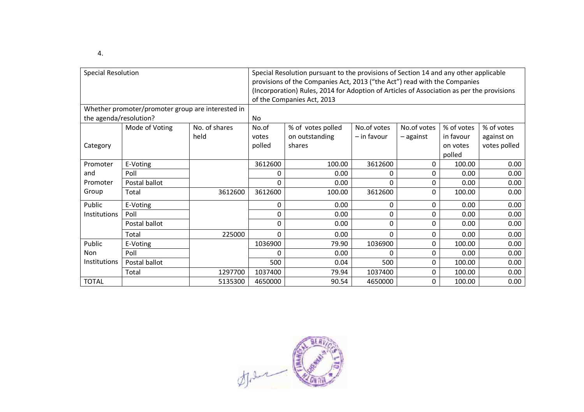| 4. |  |  |  |  |
|----|--|--|--|--|
|----|--|--|--|--|

| <b>Special Resolution</b><br>Whether promoter/promoter group are interested in |                |               | Special Resolution pursuant to the provisions of Section 14 and any other applicable<br>provisions of the Companies Act, 2013 ("the Act") read with the Companies<br>(Incorporation) Rules, 2014 for Adoption of Articles of Association as per the provisions<br>of the Companies Act, 2013 |                   |               |             |            |              |  |  |  |
|--------------------------------------------------------------------------------|----------------|---------------|----------------------------------------------------------------------------------------------------------------------------------------------------------------------------------------------------------------------------------------------------------------------------------------------|-------------------|---------------|-------------|------------|--------------|--|--|--|
|                                                                                |                |               |                                                                                                                                                                                                                                                                                              |                   |               |             |            |              |  |  |  |
| the agenda/resolution?                                                         |                |               | <b>No</b>                                                                                                                                                                                                                                                                                    |                   |               |             |            |              |  |  |  |
|                                                                                | Mode of Voting | No. of shares | No.of                                                                                                                                                                                                                                                                                        | % of votes polled | No.of votes   | No.of votes | % of votes | % of votes   |  |  |  |
|                                                                                |                | held          | votes                                                                                                                                                                                                                                                                                        | on outstanding    | $-$ in favour | $-$ against | in favour  | against on   |  |  |  |
| Category                                                                       |                |               | polled                                                                                                                                                                                                                                                                                       | shares            |               |             | on votes   | votes polled |  |  |  |
|                                                                                |                |               |                                                                                                                                                                                                                                                                                              |                   |               |             | polled     |              |  |  |  |
| Promoter                                                                       | E-Voting       |               | 3612600                                                                                                                                                                                                                                                                                      | 100.00            | 3612600       | $\Omega$    | 100.00     | 0.00         |  |  |  |
| and                                                                            | Poll           |               | 0                                                                                                                                                                                                                                                                                            | 0.00              | 0             | $\Omega$    | 0.00       | 0.00         |  |  |  |
| Promoter                                                                       | Postal ballot  |               | $\Omega$                                                                                                                                                                                                                                                                                     | 0.00              | 0             | $\Omega$    | 0.00       | 0.00         |  |  |  |
| Group                                                                          | Total          | 3612600       | 3612600                                                                                                                                                                                                                                                                                      | 100.00            | 3612600       | $\Omega$    | 100.00     | 0.00         |  |  |  |
| Public                                                                         | E-Voting       |               | 0                                                                                                                                                                                                                                                                                            | 0.00              | 0             | $\Omega$    | 0.00       | 0.00         |  |  |  |
| Institutions                                                                   | Poll           |               | $\Omega$                                                                                                                                                                                                                                                                                     | 0.00              | 0             | $\Omega$    | 0.00       | 0.00         |  |  |  |
|                                                                                | Postal ballot  |               | $\Omega$                                                                                                                                                                                                                                                                                     | 0.00              | 0             | $\Omega$    | 0.00       | 0.00         |  |  |  |
|                                                                                | Total          | 225000        | $\Omega$                                                                                                                                                                                                                                                                                     | 0.00              | 0             | 0           | 0.00       | 0.00         |  |  |  |
| Public                                                                         | E-Voting       |               | 1036900                                                                                                                                                                                                                                                                                      | 79.90             | 1036900       | $\Omega$    | 100.00     | 0.00         |  |  |  |
| Non                                                                            | Poll           |               | 0                                                                                                                                                                                                                                                                                            | 0.00              | 0             | 0           | 0.00       | 0.00         |  |  |  |
| Institutions                                                                   | Postal ballot  |               | 500                                                                                                                                                                                                                                                                                          | 0.04              | 500           | $\Omega$    | 100.00     | 0.00         |  |  |  |
|                                                                                | Total          | 1297700       | 1037400                                                                                                                                                                                                                                                                                      | 79.94             | 1037400       | 0           | 100.00     | 0.00         |  |  |  |
| <b>TOTAL</b>                                                                   |                | 5135300       | 4650000                                                                                                                                                                                                                                                                                      | 90.54             | 4650000       | 0           | 100.00     | 0.00         |  |  |  |

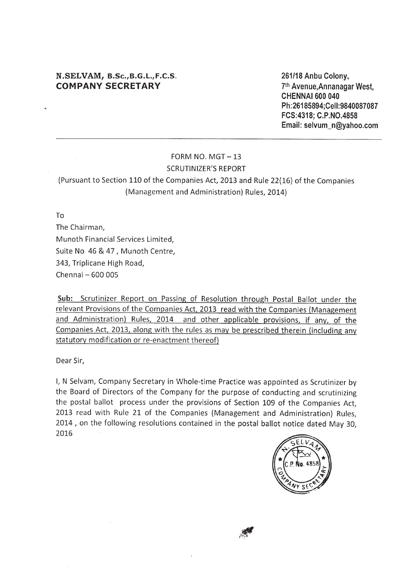## N.SELVAM, B.Sc., B.G.L., F.C.S. **COMPANY SECRETARY**

261/18 Anbu Colony, 7th Avenue, Annanagar West, CHENNAI 600 040 Ph:26185894:Cell:9840087087 FCS:4318; C.P.NO.4858 Email: selvum n@yahoo.com

## FORM NO. MGT $-13$ **SCRUTINIZER'S REPORT**

## (Pursuant to Section 110 of the Companies Act, 2013 and Rule 22(16) of the Companies (Management and Administration) Rules, 2014)

To

The Chairman. Munoth Financial Services Limited, Suite No 46 & 47, Munoth Centre, 343, Triplicane High Road, Chennai - 600 005

Sub: Scrutinizer Report on Passing of Resolution through Postal Ballot under the relevant Provisions of the Companies Act, 2013 read with the Companies (Management and Administration) Rules, 2014 and other applicable provisions, if any, of the Companies Act, 2013, along with the rules as may be prescribed therein (including any statutory modification or re-enactment thereof)

Dear Sir,

I, N Selvam, Company Secretary in Whole-time Practice was appointed as Scrutinizer by the Board of Directors of the Company for the purpose of conducting and scrutinizing the postal ballot process under the provisions of Section 109 of the Companies Act. 2013 read with Rule 21 of the Companies (Management and Administration) Rules, 2014, on the following resolutions contained in the postal ballot notice dated May 30. 2016

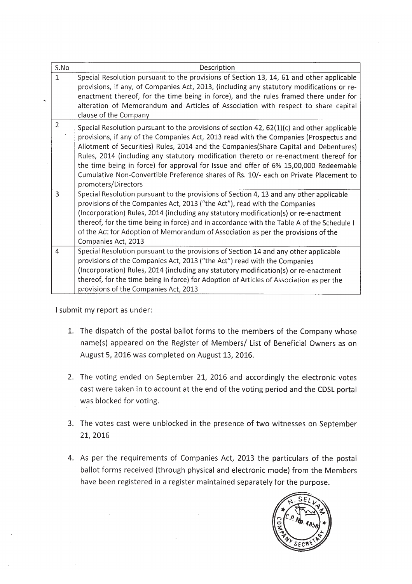| S.No           | Description                                                                                                                                                                                                                                                                                                                                                                                                                                                                                                                                                                        |
|----------------|------------------------------------------------------------------------------------------------------------------------------------------------------------------------------------------------------------------------------------------------------------------------------------------------------------------------------------------------------------------------------------------------------------------------------------------------------------------------------------------------------------------------------------------------------------------------------------|
| $\mathbf{1}$   | Special Resolution pursuant to the provisions of Section 13, 14, 61 and other applicable<br>provisions, if any, of Companies Act, 2013, (including any statutory modifications or re-<br>enactment thereof, for the time being in force), and the rules framed there under for<br>alteration of Memorandum and Articles of Association with respect to share capital<br>clause of the Company                                                                                                                                                                                      |
| $\overline{2}$ | Special Resolution pursuant to the provisions of section $42$ , $62(1)(c)$ and other applicable<br>provisions, if any of the Companies Act, 2013 read with the Companies (Prospectus and<br>Allotment of Securities) Rules, 2014 and the Companies (Share Capital and Debentures)<br>Rules, 2014 (including any statutory modification thereto or re-enactment thereof for<br>the time being in force) for approval for Issue and offer of 6% 15,00,000 Redeemable<br>Cumulative Non-Convertible Preference shares of Rs. 10/- each on Private Placement to<br>promoters/Directors |
| 3              | Special Resolution pursuant to the provisions of Section 4, 13 and any other applicable<br>provisions of the Companies Act, 2013 ("the Act"), read with the Companies<br>(Incorporation) Rules, 2014 (including any statutory modification(s) or re-enactment<br>thereof, for the time being in force) and in accordance with the Table A of the Schedule I<br>of the Act for Adoption of Memorandum of Association as per the provisions of the<br>Companies Act, 2013                                                                                                            |
| 4              | Special Resolution pursuant to the provisions of Section 14 and any other applicable<br>provisions of the Companies Act, 2013 ("the Act") read with the Companies<br>(Incorporation) Rules, 2014 (including any statutory modification(s) or re-enactment<br>thereof, for the time being in force) for Adoption of Articles of Association as per the<br>provisions of the Companies Act, 2013                                                                                                                                                                                     |

I submit my report as under:

- 1. The dispatch of the postal ballot forms to the members of the Company whose name(s) appeared on the Register of Members/ List of Beneficial Owners as on August 5, 2016 was completed on August 13, 2016.
- 2. The voting ended on September 21, 2016 and accordingly the electronic votes cast were taken in to account at the end of the voting period and the CDSL portal was blocked for voting.
- 3. The votes cast were unblocked in the presence of two witnesses on September 21, 2016
- 4. As per the requirements of Companies Act, 2013 the particulars of the postal ballot forms received (through physical and electronic mode) from the Members have been registered in a register maintained separately for the purpose.

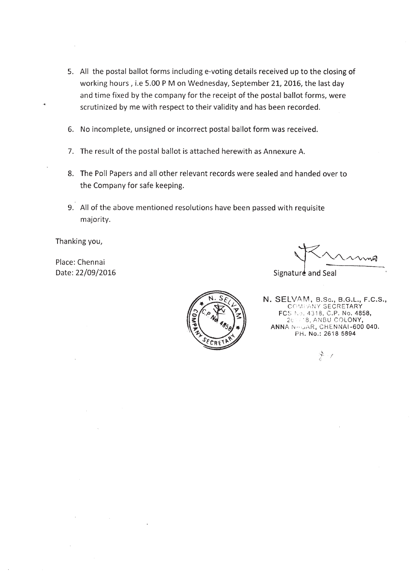- 5. All the postal ballot forms including e-voting details received up to the closing of working hours, i.e 5.00 PM on Wednesday, September 21, 2016, the last day and time fixed by the company for the receipt of the postal ballot forms, were scrutinized by me with respect to their validity and has been recorded.
- 6. No incomplete, unsigned or incorrect postal ballot form was received.
- 7. The result of the postal ballot is attached herewith as Annexure A.
- 8. The Poll Papers and all other relevant records were sealed and handed over to the Company for safe keeping.
- 9. All of the above mentioned resolutions have been passed with requisite majority.

Thanking you,

Place: Chennai Date: 22/09/2016

Signature and Seal



N. SELVAM, B.Sc., B.G.L., F.C.S., **COMPANY SECRETARY** FCS No. 4318, C.P. No. 4858, 26%/8, ANBU COLONY,<br>ANNA NAGAR, CHENNAI-600 040. PH. No.: 2618 5894

 $\frac{\partial \Phi}{\partial x} = \rho$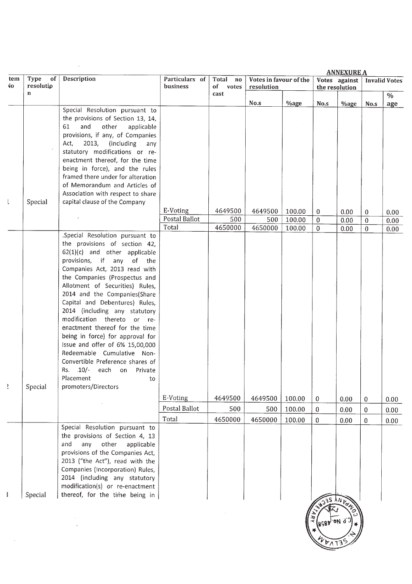|           |                         |                                                                                                                                                                                                                                                                                                                                                                                                                                                                                                                                                                                                                                         |                            |                            |                                      |                            |                                          | <b>ANNEXURE A</b>    |                               |                      |
|-----------|-------------------------|-----------------------------------------------------------------------------------------------------------------------------------------------------------------------------------------------------------------------------------------------------------------------------------------------------------------------------------------------------------------------------------------------------------------------------------------------------------------------------------------------------------------------------------------------------------------------------------------------------------------------------------------|----------------------------|----------------------------|--------------------------------------|----------------------------|------------------------------------------|----------------------|-------------------------------|----------------------|
| tem<br>۹o | Type<br>of<br>resolutio | Description                                                                                                                                                                                                                                                                                                                                                                                                                                                                                                                                                                                                                             | Particulars of<br>business | Total<br>no<br>of<br>votes | Votes in favour of the<br>resolution |                            | Votes against<br>the resolution          |                      |                               | <b>Invalid Votes</b> |
|           | $\mathbf n$             |                                                                                                                                                                                                                                                                                                                                                                                                                                                                                                                                                                                                                                         |                            | cast                       | No.s                                 |                            | $No.s$                                   |                      |                               | $\%$                 |
|           |                         | Special Resolution pursuant to<br>the provisions of Section 13, 14,<br>61<br>and<br>other<br>applicable<br>provisions, if any, of Companies                                                                                                                                                                                                                                                                                                                                                                                                                                                                                             |                            |                            |                                      | $%$ age                    |                                          | <b>%age</b>          | No.s                          | age                  |
|           |                         | Act, 2013, (including<br>any<br>statutory modifications or re-<br>enactment thereof, for the time<br>being in force), and the rules<br>framed there under for alteration<br>of Memorandum and Articles of<br>Association with respect to share                                                                                                                                                                                                                                                                                                                                                                                          |                            |                            |                                      |                            |                                          |                      |                               |                      |
| $\lfloor$ | Special                 | capital clause of the Company                                                                                                                                                                                                                                                                                                                                                                                                                                                                                                                                                                                                           |                            |                            |                                      |                            |                                          |                      |                               |                      |
|           |                         |                                                                                                                                                                                                                                                                                                                                                                                                                                                                                                                                                                                                                                         | E-Voting                   | 4649500                    | 4649500                              | 100.00                     | $\bf{0}$                                 | 0.00                 | 0                             | 0.00 <sub>1</sub>    |
|           |                         |                                                                                                                                                                                                                                                                                                                                                                                                                                                                                                                                                                                                                                         | Postal Ballot<br>Total     | 500<br>4650000             | 500                                  | 100.00                     | $\bf{0}$                                 | 0.00                 | $\mathbf{0}$                  | 0.00                 |
| ž.        | Special                 | .Special Resolution pursuant to<br>the provisions of section 42,<br>$62(1)(c)$ and other applicable<br>provisions, if any<br>of the<br>Companies Act, 2013 read with<br>the Companies (Prospectus and<br>Allotment of Securities) Rules,<br>2014 and the Companies(Share<br>Capital and Debentures) Rules,<br>2014 (including any statutory<br>modification thereto or re-<br>enactment thereof for the time<br>being in force) for approval for<br>Issue and offer of 6% 15,00,000<br>Redeemable Cumulative Non-<br>Convertible Preference shares of<br>Rs. $.10/-$<br>Private<br>each<br>on<br>Placement<br>to<br>promoters/Directors | E-Voting<br>Postal Ballot  | 4649500<br>500             | 4650000<br>4649500<br>500            | 100.00<br>100.00<br>100.00 | $\mathbf{0}$<br>$\mathbf{0}$<br>$\bf{0}$ | 0.00<br>0.00<br>0.00 | $\mathbf{0}$<br>0<br>$\bf{0}$ | 0.00<br>0.00<br>0.00 |
|           |                         |                                                                                                                                                                                                                                                                                                                                                                                                                                                                                                                                                                                                                                         | Total                      | 4650000                    | 4650000                              | 100.00                     | $\bf{0}$                                 | 0.00                 | 0                             | 0.00                 |
| 3         | Special                 | Special Resolution pursuant to<br>the provisions of Section 4, 13<br>and<br>any<br>other<br>applicable<br>provisions of the Companies Act,<br>2013 ("the Act"), read with the<br>Companies (Incorporation) Rules,<br>2014 (including any statutory<br>modification(s) or re-enactment<br>thereof, for the time being in                                                                                                                                                                                                                                                                                                                 |                            |                            |                                      |                            |                                          |                      |                               |                      |
|           |                         |                                                                                                                                                                                                                                                                                                                                                                                                                                                                                                                                                                                                                                         |                            |                            |                                      |                            |                                          |                      |                               |                      |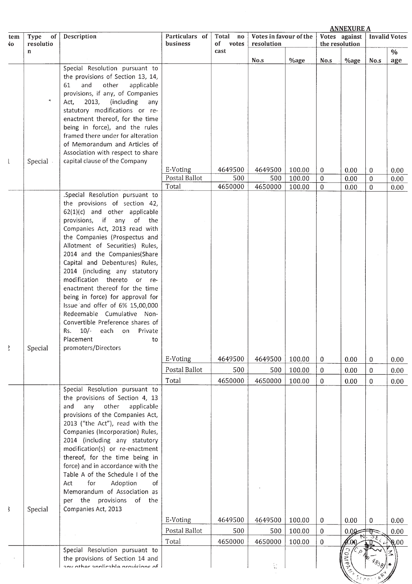|               |                              |                                                                        | <b>ANNEXURE A</b>          |                                    |                                      |        |              |                                 |              |                              |
|---------------|------------------------------|------------------------------------------------------------------------|----------------------------|------------------------------------|--------------------------------------|--------|--------------|---------------------------------|--------------|------------------------------|
| tem<br>۹O     | Type<br>of<br>resolutio<br>n | Description                                                            | Particulars of<br>business | Total<br>no<br>of<br>votes<br>cast | Votes in favour of the<br>resolution |        |              | Votes against<br>the resolution |              | <b>Invalid Votes</b><br>$\%$ |
|               |                              |                                                                        |                            |                                    | No.s                                 | %age   | No.s         | %age                            | No.s         | age                          |
|               |                              | Special Resolution pursuant to                                         |                            |                                    |                                      |        |              |                                 |              |                              |
|               |                              | the provisions of Section 13, 14,                                      |                            |                                    |                                      |        |              |                                 |              |                              |
|               |                              | and<br>other<br>applicable<br>61                                       |                            |                                    |                                      |        |              |                                 |              |                              |
|               |                              | provisions, if any, of Companies<br>2013,<br>(including<br>Act,<br>any |                            |                                    |                                      |        |              |                                 |              |                              |
|               |                              | statutory modifications or re-                                         |                            |                                    |                                      |        |              |                                 |              |                              |
|               |                              | enactment thereof, for the time                                        |                            |                                    |                                      |        |              |                                 |              |                              |
|               |                              | being in force), and the rules                                         |                            |                                    |                                      |        |              |                                 |              |                              |
|               |                              | framed there under for alteration<br>of Memorandum and Articles of     |                            |                                    |                                      |        |              |                                 |              |                              |
|               |                              | Association with respect to share                                      |                            |                                    |                                      |        |              |                                 |              |                              |
| $\mathsf{L}$  | Special -                    | capital clause of the Company                                          |                            |                                    |                                      |        |              |                                 |              |                              |
|               |                              |                                                                        | E-Voting                   | 4649500                            | 4649500                              | 100.00 | $\bf{0}$     | 0.00                            | 0            | 0.00                         |
|               |                              |                                                                        | Postal Ballot              | 500                                | 500                                  | 100.00 | $\mathbf{0}$ | 0.00                            | $\mathbf{0}$ | 0.00                         |
|               |                              | .Special Resolution pursuant to                                        | Total                      | 4650000                            | 4650000                              | 100.00 | $\mathbf{0}$ | 0.00                            | $\bf{0}$     | 0.00                         |
|               |                              | the provisions of section 42,                                          |                            |                                    |                                      |        |              |                                 |              |                              |
|               |                              | $62(1)(c)$ and other applicable                                        |                            |                                    |                                      |        |              |                                 |              |                              |
|               |                              | provisions, if any<br>of the                                           |                            |                                    |                                      |        |              |                                 |              |                              |
|               |                              | Companies Act, 2013 read with                                          |                            |                                    |                                      |        |              |                                 |              |                              |
|               |                              | the Companies (Prospectus and<br>Allotment of Securities) Rules,       |                            |                                    |                                      |        |              |                                 |              |                              |
|               |                              | 2014 and the Companies(Share                                           |                            |                                    |                                      |        |              |                                 |              |                              |
|               |                              | Capital and Debentures) Rules,                                         |                            |                                    |                                      |        |              |                                 |              |                              |
|               |                              | 2014 (including any statutory                                          |                            |                                    |                                      |        |              |                                 |              |                              |
|               |                              | modification thereto or re-<br>enactment thereof for the time          |                            |                                    |                                      |        |              |                                 |              |                              |
|               |                              | being in force) for approval for                                       |                            |                                    |                                      |        |              |                                 |              |                              |
|               |                              | Issue and offer of 6% 15,00,000                                        |                            |                                    |                                      |        |              |                                 |              |                              |
|               |                              | Redeemable Cumulative Non-                                             |                            |                                    |                                      |        |              |                                 |              |                              |
|               |                              | Convertible Preference shares of                                       |                            |                                    |                                      |        |              |                                 |              |                              |
|               |                              | 10/- each on Private<br>Rs.<br>Placement<br>to                         |                            |                                    |                                      |        |              |                                 |              |                              |
| 2             | Special                      | promoters/Directors                                                    |                            |                                    |                                      |        |              |                                 |              |                              |
|               |                              |                                                                        | E-Voting                   | 4649500                            | 4649500                              | 100.00 | $\bf{0}$     | 0.00                            | 0            | 0.00                         |
|               |                              |                                                                        | Postal Ballot              | 500                                | 500                                  | 100.00 | $\mathbf{0}$ | 0.00                            | 0            | 0.00                         |
|               |                              |                                                                        | Total                      | 4650000                            | 4650000                              | 100.00 | $\mathbf 0$  | 0.00                            | $\mathbf 0$  | 0.00                         |
|               |                              | Special Resolution pursuant to<br>the provisions of Section 4, 13      |                            |                                    |                                      |        |              |                                 |              |                              |
|               |                              | any<br>other<br>applicable<br>and                                      |                            |                                    |                                      |        |              |                                 |              |                              |
|               |                              | provisions of the Companies Act,                                       |                            |                                    |                                      |        |              |                                 |              |                              |
|               |                              | 2013 ("the Act"), read with the                                        |                            |                                    |                                      |        |              |                                 |              |                              |
|               |                              | Companies (Incorporation) Rules,                                       |                            |                                    |                                      |        |              |                                 |              |                              |
|               |                              | 2014 (including any statutory<br>modification(s) or re-enactment       |                            |                                    |                                      |        |              |                                 |              |                              |
|               |                              | thereof, for the time being in                                         |                            |                                    |                                      |        |              |                                 |              |                              |
|               |                              | force) and in accordance with the                                      |                            |                                    |                                      |        |              |                                 |              |                              |
|               |                              | Table A of the Schedule I of the                                       |                            |                                    |                                      |        |              |                                 |              |                              |
|               |                              | for<br>Adoption<br>Act<br>of                                           |                            |                                    |                                      |        |              |                                 |              |                              |
|               |                              | Memorandum of Association as<br>per the provisions of the              |                            |                                    |                                      |        |              |                                 |              |                              |
| $\mathbf{\S}$ | Special                      | Companies Act, 2013                                                    |                            |                                    |                                      |        |              |                                 |              |                              |
|               |                              |                                                                        | E-Voting                   | 4649500                            | 4649500                              | 100.00 | 0            | 0.00                            | 0            | 0.00                         |
|               |                              |                                                                        | Postal Ballot              | 500                                | 500                                  | 100.00 | $\bf{0}$     | 0.00                            |              | 0.00                         |
|               |                              |                                                                        | Total                      | 4650000                            | 4650000                              | 100.00 | 0            | ററ                              |              | 0.00                         |
|               |                              | Special Resolution pursuant to                                         |                            |                                    |                                      |        |              | 0                               |              |                              |
|               |                              | the provisions of Section 14 and<br>any other annlicable provisions of |                            |                                    | i<br>As                              |        |              | $\sum_{i=1}^{n}$                |              |                              |
|               |                              |                                                                        |                            |                                    |                                      |        |              |                                 |              |                              |
|               |                              |                                                                        |                            |                                    |                                      |        |              |                                 |              |                              |